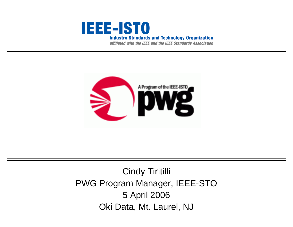

affiliated with the IEEE and the IEEE Standards Association



## Cindy Tiritilli PWG Program Manager, IEEE-STO 5 April 2006 Oki Data, Mt. Laurel, NJ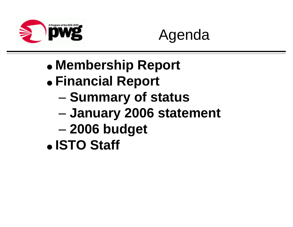



- **Membership Report**
- **Financial Report**
	- –**Summary of status**
	- –**January 2006 statement**
	- –**2006 budget**
- **ISTO Staff**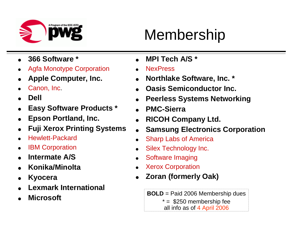

## Membership

- **366 Software \***
- Agfa Monotype Corporation
- **Apple Computer, Inc.**
- Canon, Inc.
- **Dell**
- **Easy Software Products \***
- **Epson Portland, Inc.**
- **Fuji Xerox Printing Systems**
- Hewlett-Packard
- IBM Corporation
- **Intermate A/S**
- **Konika/Minolta**
- **Kyocera**
- **Lexmark International**
- **Microsoft**
- **MPI Tech A/S \***
- **NexPress**
- **Northlake Software, Inc. \***
- **Oasis Semiconductor Inc.**
- **Peerless Systems Networking**
- **PMC-Sierra**
- **RICOH Company Ltd.**
- **Samsung Electronics Corporation**
- Sharp Labs of America
- Silex Technology Inc.
- Software Imaging
- Xerox Corporation
- **Zoran (formerly Oak)**
	- **BOLD** = Paid 2006 Membership dues
		- $* = $250$  membership fee

all info as of 4 April 2006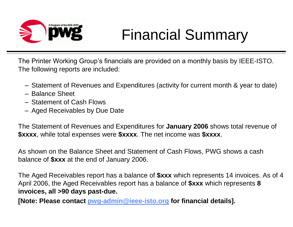

# Financial Summary

The Printer Working Group's financials are provided on a monthly basis by IEEE-ISTO. The following reports are included:

- –Statement of Revenues and Expenditures (activity for current month & year to date)
- –Balance Sheet
- –Statement of Cash Flows
- –Aged Receivables by Due Date

The Statement of Revenues and Expenditures for **January 2006** shows total revenue of **\$xxxx**, while total expenses were **\$xxxx**. The net income was **\$xxxx**.

As shown on the Balance Sheet and Statement of Cash Flows, PWG shows a cash balance of **\$xxx** at the end of January 2006.

The Aged Receivables report has a balance of **\$xxx** which represents 14 invoices. As of 4 April 2006, the Aged Receivables report has a balance of **\$xxx** which represents **8 invoices, all >90 days past-due.**

**[Note: Please contact pwg-admin@ieee-isto.org for financial details].**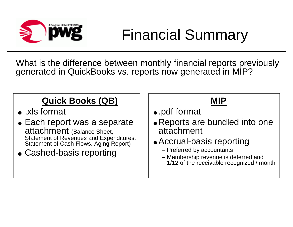

# Financial Summary

What is the difference between monthly financial reports previously generated in QuickBooks vs. reports now generated in MIP?

## **Quick Books (QB)**

- .xls format
- Each report was a separate attachment (Balance Sheet, Statement of Revenues and Expenditures, Statement of Cash Flows, Aging Report)
- Cashed-basis reporting

#### **MIP**

- .pdf format
- Reports are bundled into one attachment
- Accrual-basis reporting
	- –Preferred by accountants
	- –Membership revenue is deferred and 1/12 of the receivable recognized / month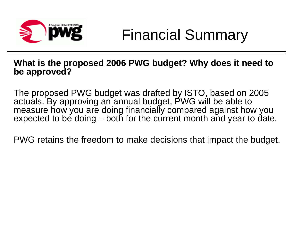

#### **What is the proposed 2006 PWG budget? Why does it need to be approved?**

The proposed PWG budget was drafted by ISTO, based on 2005 actuals. By approving an annual budget, PWG will be able to measure how you are doing financially compared against how you expected to be doing – both for the current month and year to date.

PWG retains the freedom to make decisions that impact the budget.